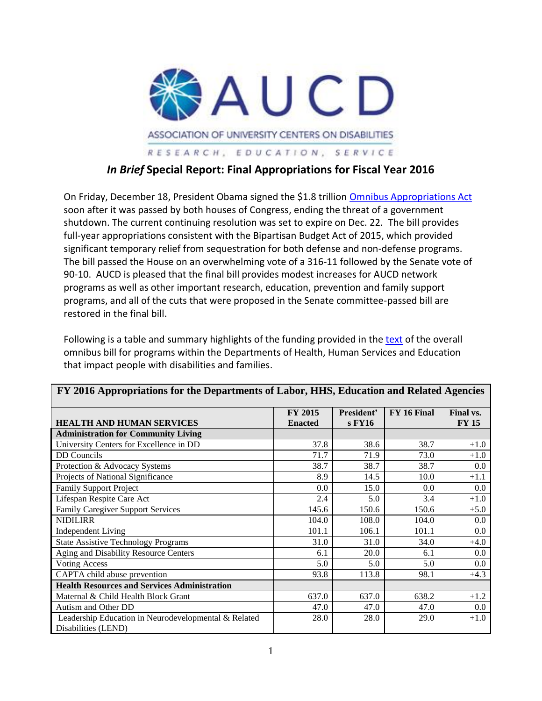

# *In Brief* **Special Report: Final Appropriations for Fiscal Year 2016**

On Friday, December 18, President Obama signed the \$1.8 trillion [Omnibus Appropriations Act](http://democrats.appropriations.house.gov/sites/democrats.appropriations.house.gov/files/wysiwyg_uploaded/Summary%20of%20FY16%20Omnibus_0.pdf) soon after it was passed by both houses of Congress, ending the threat of a government shutdown. The current continuing resolution was set to expire on Dec. 22. The bill provides full-year appropriations consistent with the Bipartisan Budget Act of 2015, which provided significant temporary relief from sequestration for both defense and non-defense programs. The bill passed the House on an overwhelming vote of a 316-11 followed by the Senate vote of 90-10. AUCD is pleased that the final bill provides modest increases for AUCD network programs as well as other important research, education, prevention and family support programs, and all of the cuts that were proposed in the Senate committee-passed bill are restored in the final bill.

Following is a table and summary highlights of the funding provided in the [text](http://docs.house.gov/meetings/RU/RU00/20151216/104298/HMTG-114-RU00-20151216-SD009.pdf) of the overall omnibus bill for programs within the Departments of Health, Human Services and Education that impact people with disabilities and families.

| FY 2016 Appropriations for the Departments of Labor, HHS, Education and Related Agencies |                           |                      |             |                           |  |  |
|------------------------------------------------------------------------------------------|---------------------------|----------------------|-------------|---------------------------|--|--|
| <b>HEALTH AND HUMAN SERVICES</b>                                                         | FY 2015<br><b>Enacted</b> | President'<br>s FY16 | FY 16 Final | Final vs.<br><b>FY 15</b> |  |  |
| <b>Administration for Community Living</b>                                               |                           |                      |             |                           |  |  |
| University Centers for Excellence in DD                                                  | 37.8                      | 38.6                 | 38.7        | $+1.0$                    |  |  |
| <b>DD</b> Councils                                                                       | 71.7                      | 71.9                 | 73.0        | $+1.0$                    |  |  |
| Protection & Advocacy Systems                                                            | 38.7                      | 38.7                 | 38.7        | $0.0\,$                   |  |  |
| Projects of National Significance                                                        | 8.9                       | 14.5                 | 10.0        | $+1.1$                    |  |  |
| <b>Family Support Project</b>                                                            | 0.0                       | 15.0                 | 0.0         | $0.0\,$                   |  |  |
| Lifespan Respite Care Act                                                                | 2.4                       | 5.0                  | 3.4         | $+1.0$                    |  |  |
| <b>Family Caregiver Support Services</b>                                                 | 145.6                     | 150.6                | 150.6       | $+5.0$                    |  |  |
| <b>NIDILIRR</b>                                                                          | 104.0                     | 108.0                | 104.0       | 0.0                       |  |  |
| <b>Independent Living</b>                                                                | 101.1                     | 106.1                | 101.1       | $0.0\,$                   |  |  |
| <b>State Assistive Technology Programs</b>                                               | 31.0                      | 31.0                 | 34.0        | $+4.0$                    |  |  |
| Aging and Disability Resource Centers                                                    | 6.1                       | 20.0                 | 6.1         | $0.0\,$                   |  |  |
| <b>Voting Access</b>                                                                     | 5.0                       | 5.0                  | 5.0         | $0.0\,$                   |  |  |
| CAPTA child abuse prevention                                                             | 93.8                      | 113.8                | 98.1        | $+4.3$                    |  |  |
| <b>Health Resources and Services Administration</b>                                      |                           |                      |             |                           |  |  |
| Maternal & Child Health Block Grant                                                      | 637.0                     | 637.0                | 638.2       | $+1.2$                    |  |  |
| Autism and Other DD                                                                      | 47.0                      | 47.0                 | 47.0        | $0.0\,$                   |  |  |
| Leadership Education in Neurodevelopmental & Related<br>Disabilities (LEND)              | 28.0                      | 28.0                 | 29.0        | $+1.0$                    |  |  |

1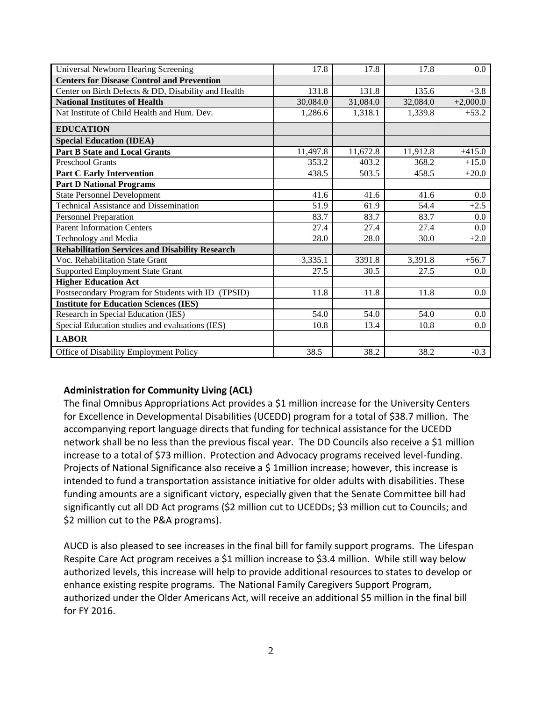| Universal Newborn Hearing Screening                    | 17.8     | 17.8     | 17.8     | $0.0\,$    |
|--------------------------------------------------------|----------|----------|----------|------------|
| <b>Centers for Disease Control and Prevention</b>      |          |          |          |            |
| Center on Birth Defects & DD, Disability and Health    | 131.8    | 131.8    | 135.6    | $+3.8$     |
| <b>National Institutes of Health</b>                   | 30,084.0 | 31,084.0 | 32,084.0 | $+2,000.0$ |
| Nat Institute of Child Health and Hum. Dev.            | 1,286.6  | 1,318.1  | 1,339.8  | $+53.2$    |
| <b>EDUCATION</b>                                       |          |          |          |            |
| <b>Special Education (IDEA)</b>                        |          |          |          |            |
| <b>Part B State and Local Grants</b>                   | 11,497.8 | 11,672.8 | 11,912.8 | $+415.0$   |
| <b>Preschool Grants</b>                                | 353.2    | 403.2    | 368.2    | $+15.0$    |
| <b>Part C Early Intervention</b>                       | 438.5    | 503.5    | 458.5    | $+20.0$    |
| <b>Part D National Programs</b>                        |          |          |          |            |
| <b>State Personnel Development</b>                     | 41.6     | 41.6     | 41.6     | $0.0\,$    |
| <b>Technical Assistance and Dissemination</b>          | 51.9     | 61.9     | 54.4     | $+2.5$     |
| <b>Personnel Preparation</b>                           | 83.7     | 83.7     | 83.7     | 0.0        |
| <b>Parent Information Centers</b>                      | 27.4     | 27.4     | 27.4     | $0.0\,$    |
| Technology and Media                                   | 28.0     | 28.0     | 30.0     | $+2.0$     |
| <b>Rehabilitation Services and Disability Research</b> |          |          |          |            |
| Voc. Rehabilitation State Grant                        | 3,335.1  | 3391.8   | 3,391.8  | $+56.7$    |
| <b>Supported Employment State Grant</b>                | 27.5     | 30.5     | 27.5     | 0.0        |
| <b>Higher Education Act</b>                            |          |          |          |            |
| Postsecondary Program for Students with ID (TPSID)     | 11.8     | 11.8     | 11.8     | 0.0        |
| <b>Institute for Education Sciences (IES)</b>          |          |          |          |            |
| Research in Special Education (IES)                    | 54.0     | 54.0     | 54.0     | 0.0        |
| Special Education studies and evaluations (IES)        | 10.8     | 13.4     | 10.8     | 0.0        |
| <b>LABOR</b>                                           |          |          |          |            |
| Office of Disability Employment Policy                 | 38.5     | 38.2     | 38.2     | $-0.3$     |

## **Administration for Community Living (ACL)**

The final Omnibus Appropriations Act provides a \$1 million increase for the University Centers for Excellence in Developmental Disabilities (UCEDD) program for a total of \$38.7 million. The accompanying report language directs that funding for technical assistance for the UCEDD network shall be no less than the previous fiscal year. The DD Councils also receive a \$1 million increase to a total of \$73 million. Protection and Advocacy programs received level-funding. Projects of National Significance also receive a \$ 1 million increase; however, this increase is intended to fund a transportation assistance initiative for older adults with disabilities. These funding amounts are a significant victory, especially given that the Senate Committee bill had significantly cut all DD Act programs (\$2 million cut to UCEDDs; \$3 million cut to Councils; and \$2 million cut to the P&A programs).

AUCD is also pleased to see increases in the final bill for family support programs. The Lifespan Respite Care Act program receives a \$1 million increase to \$3.4 million. While still way below authorized levels, this increase will help to provide additional resources to states to develop or enhance existing respite programs. The National Family Caregivers Support Program, authorized under the Older Americans Act, will receive an additional \$5 million in the final bill for FY 2016.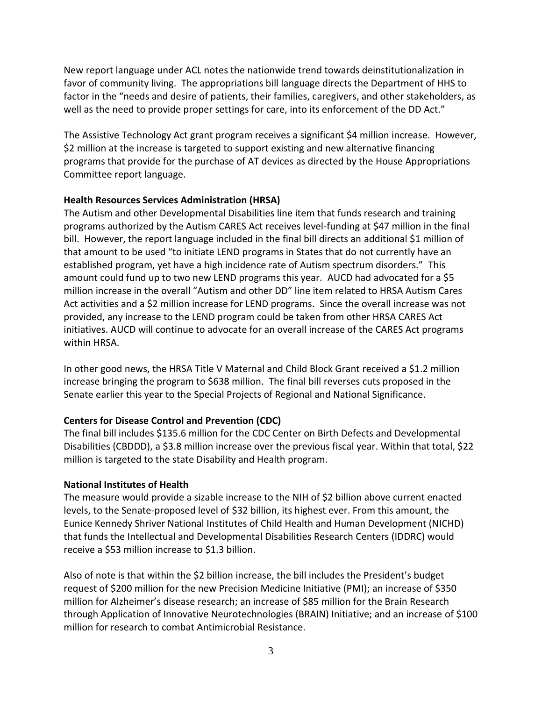New report language under ACL notes the nationwide trend towards deinstitutionalization in favor of community living. The appropriations bill language directs the Department of HHS to factor in the "needs and desire of patients, their families, caregivers, and other stakeholders, as well as the need to provide proper settings for care, into its enforcement of the DD Act."

The Assistive Technology Act grant program receives a significant \$4 million increase. However, \$2 million at the increase is targeted to support existing and new alternative financing programs that provide for the purchase of AT devices as directed by the House Appropriations Committee report language.

#### **Health Resources Services Administration (HRSA)**

The Autism and other Developmental Disabilities line item that funds research and training programs authorized by the Autism CARES Act receives level-funding at \$47 million in the final bill. However, the report language included in the final bill directs an additional \$1 million of that amount to be used "to initiate LEND programs in States that do not currently have an established program, yet have a high incidence rate of Autism spectrum disorders." This amount could fund up to two new LEND programs this year. AUCD had advocated for a \$5 million increase in the overall "Autism and other DD" line item related to HRSA Autism Cares Act activities and a \$2 million increase for LEND programs. Since the overall increase was not provided, any increase to the LEND program could be taken from other HRSA CARES Act initiatives. AUCD will continue to advocate for an overall increase of the CARES Act programs within HRSA.

In other good news, the HRSA Title V Maternal and Child Block Grant received a \$1.2 million increase bringing the program to \$638 million. The final bill reverses cuts proposed in the Senate earlier this year to the Special Projects of Regional and National Significance.

### **Centers for Disease Control and Prevention (CDC)**

The final bill includes \$135.6 million for the CDC Center on Birth Defects and Developmental Disabilities (CBDDD), a \$3.8 million increase over the previous fiscal year. Within that total, \$22 million is targeted to the state Disability and Health program.

### **National Institutes of Health**

The measure would provide a sizable increase to the NIH of \$2 billion above current enacted levels, to the Senate-proposed level of \$32 billion, its highest ever. From this amount, the Eunice Kennedy Shriver National Institutes of Child Health and Human Development (NICHD) that funds the Intellectual and Developmental Disabilities Research Centers (IDDRC) would receive a \$53 million increase to \$1.3 billion.

Also of note is that within the \$2 billion increase, the bill includes the President's budget request of \$200 million for the new Precision Medicine Initiative (PMI); an increase of \$350 million for Alzheimer's disease research; an increase of \$85 million for the Brain Research through Application of Innovative Neurotechnologies (BRAIN) Initiative; and an increase of \$100 million for research to combat Antimicrobial Resistance.